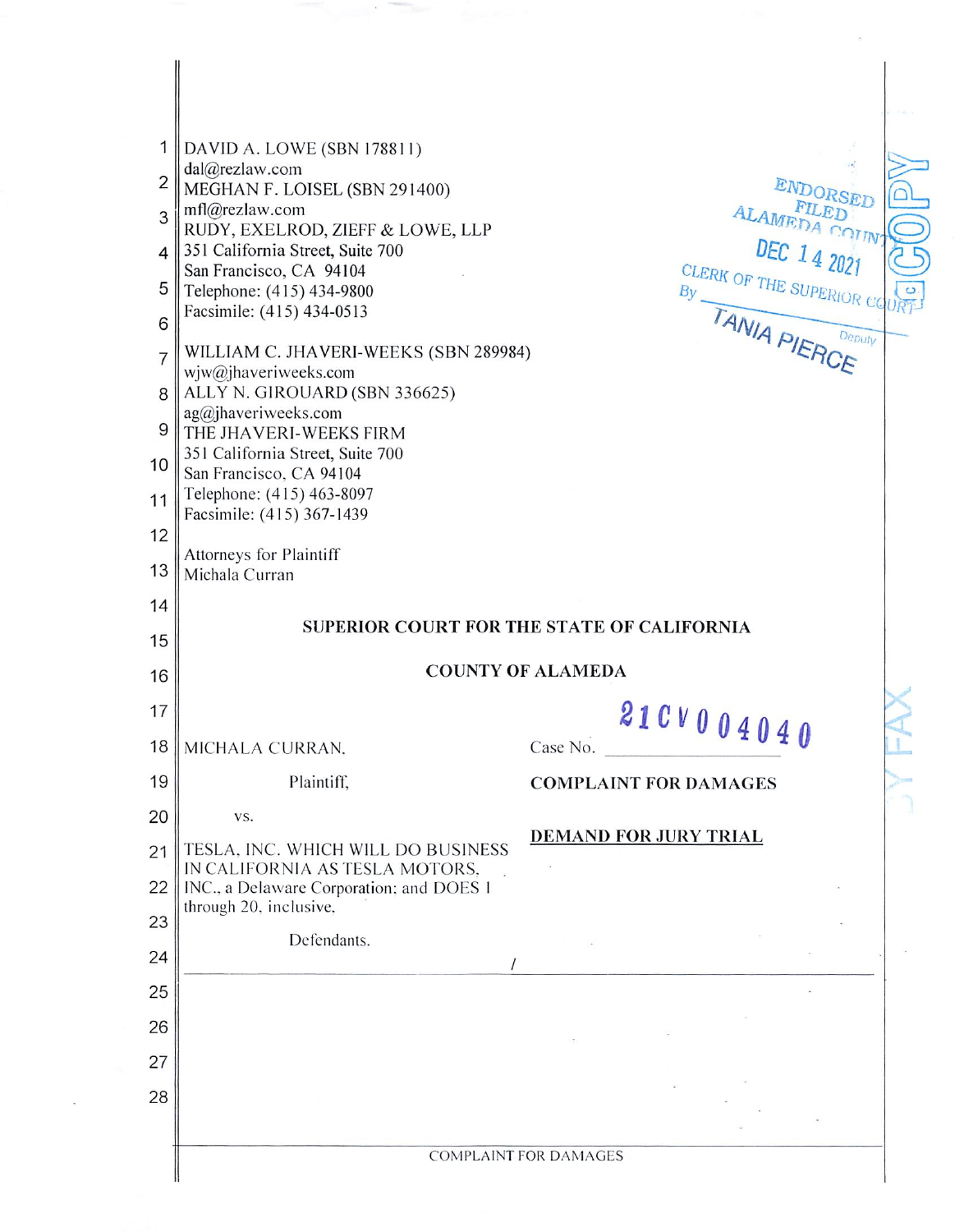| 1<br>$\overline{2}$<br>3<br>4<br>5<br>6<br>$\overline{7}$<br>8<br>9<br>10<br>11<br>12 | DAVID A. LOWE (SBN 178811)<br>dal@rezlaw.com<br>MEGHAN F. LOISEL (SBN 291400)<br>mf @rez aw.com<br>RUDY, EXELROD, ZIEFF & LOWE, LLP<br>351 California Street, Suite 700<br>San Francisco, CA 94104<br>Telephone: (415) 434-9800<br>Facsimile: (415) 434-0513<br>WILLIAM C. JHAVERI-WEEKS (SBN 289984)<br>wjw@jhaveriweeks.com<br>ALLY N. GIROUARD (SBN 336625)<br>$ag@j$ haveriweeks.com<br>THE JHAVERI-WEEKS FIRM<br>351 California Street, Suite 700<br>San Francisco, CA 94104<br>Telephone: (415) 463-8097<br>Facsimile: (415) 367-1439<br>Attorneys for Plaintiff | ENDORSED<br>ALAMEDA COUNT<br>DEC 14 2021<br>CLERK OF THE SUPERIOR C<br>TANIA PIERCE<br>Deputy |  |  |  |
|---------------------------------------------------------------------------------------|------------------------------------------------------------------------------------------------------------------------------------------------------------------------------------------------------------------------------------------------------------------------------------------------------------------------------------------------------------------------------------------------------------------------------------------------------------------------------------------------------------------------------------------------------------------------|-----------------------------------------------------------------------------------------------|--|--|--|
| 13<br>14                                                                              | Michala Curran                                                                                                                                                                                                                                                                                                                                                                                                                                                                                                                                                         |                                                                                               |  |  |  |
| 15                                                                                    | SUPERIOR COURT FOR THE STATE OF CALIFORNIA                                                                                                                                                                                                                                                                                                                                                                                                                                                                                                                             |                                                                                               |  |  |  |
| 16                                                                                    | <b>COUNTY OF ALAMEDA</b>                                                                                                                                                                                                                                                                                                                                                                                                                                                                                                                                               |                                                                                               |  |  |  |
| 17                                                                                    |                                                                                                                                                                                                                                                                                                                                                                                                                                                                                                                                                                        |                                                                                               |  |  |  |
| 18                                                                                    | MICHALA CURRAN.                                                                                                                                                                                                                                                                                                                                                                                                                                                                                                                                                        | 21 C V 0 0 4 0 4 0<br>Case No.                                                                |  |  |  |
| 19                                                                                    | Plaintiff,                                                                                                                                                                                                                                                                                                                                                                                                                                                                                                                                                             | <b>COMPLAINT FOR DAMAGES</b>                                                                  |  |  |  |
| 20                                                                                    | VS.<br><b>DEMAND FOR JURY TRIAL</b><br>TESLA, INC. WHICH WILL DO BUSINESS<br>IN CALIFORNIA AS TESLA MOTORS.<br>INC., a Delaware Corporation; and DOES 1                                                                                                                                                                                                                                                                                                                                                                                                                |                                                                                               |  |  |  |
| 21<br>22                                                                              |                                                                                                                                                                                                                                                                                                                                                                                                                                                                                                                                                                        |                                                                                               |  |  |  |
| 23                                                                                    | through 20, inclusive,                                                                                                                                                                                                                                                                                                                                                                                                                                                                                                                                                 |                                                                                               |  |  |  |
| 24                                                                                    | Defendants.                                                                                                                                                                                                                                                                                                                                                                                                                                                                                                                                                            |                                                                                               |  |  |  |
| 25                                                                                    |                                                                                                                                                                                                                                                                                                                                                                                                                                                                                                                                                                        |                                                                                               |  |  |  |
| 26                                                                                    |                                                                                                                                                                                                                                                                                                                                                                                                                                                                                                                                                                        |                                                                                               |  |  |  |
| 27                                                                                    |                                                                                                                                                                                                                                                                                                                                                                                                                                                                                                                                                                        |                                                                                               |  |  |  |
| 28                                                                                    |                                                                                                                                                                                                                                                                                                                                                                                                                                                                                                                                                                        |                                                                                               |  |  |  |
|                                                                                       |                                                                                                                                                                                                                                                                                                                                                                                                                                                                                                                                                                        | <b>COMPLAINT FOR DAMAGES</b>                                                                  |  |  |  |

 $\mathcal{O}(\mathcal{O})$ 

 $\label{eq:1.1} \frac{\partial}{\partial x^{\alpha}}\frac{\partial}{\partial x^{\beta}}\frac{\partial}{\partial x^{\beta}}\frac{\partial}{\partial x^{\beta}}\frac{\partial}{\partial x^{\beta}}\frac{\partial}{\partial x^{\beta}}\frac{\partial}{\partial x^{\beta}}\frac{\partial}{\partial x^{\beta}}\frac{\partial}{\partial x^{\beta}}\frac{\partial}{\partial x^{\beta}}\frac{\partial}{\partial x^{\beta}}\frac{\partial}{\partial x^{\beta}}\frac{\partial}{\partial x^{\beta}}\frac{\partial}{\partial x^{\beta}}\frac{\partial}{\partial x^{\beta}}\frac{\partial}{\partial x^{\beta}}\frac{\partial}{\partial x^{\beta}}\frac{\partial}{\partial$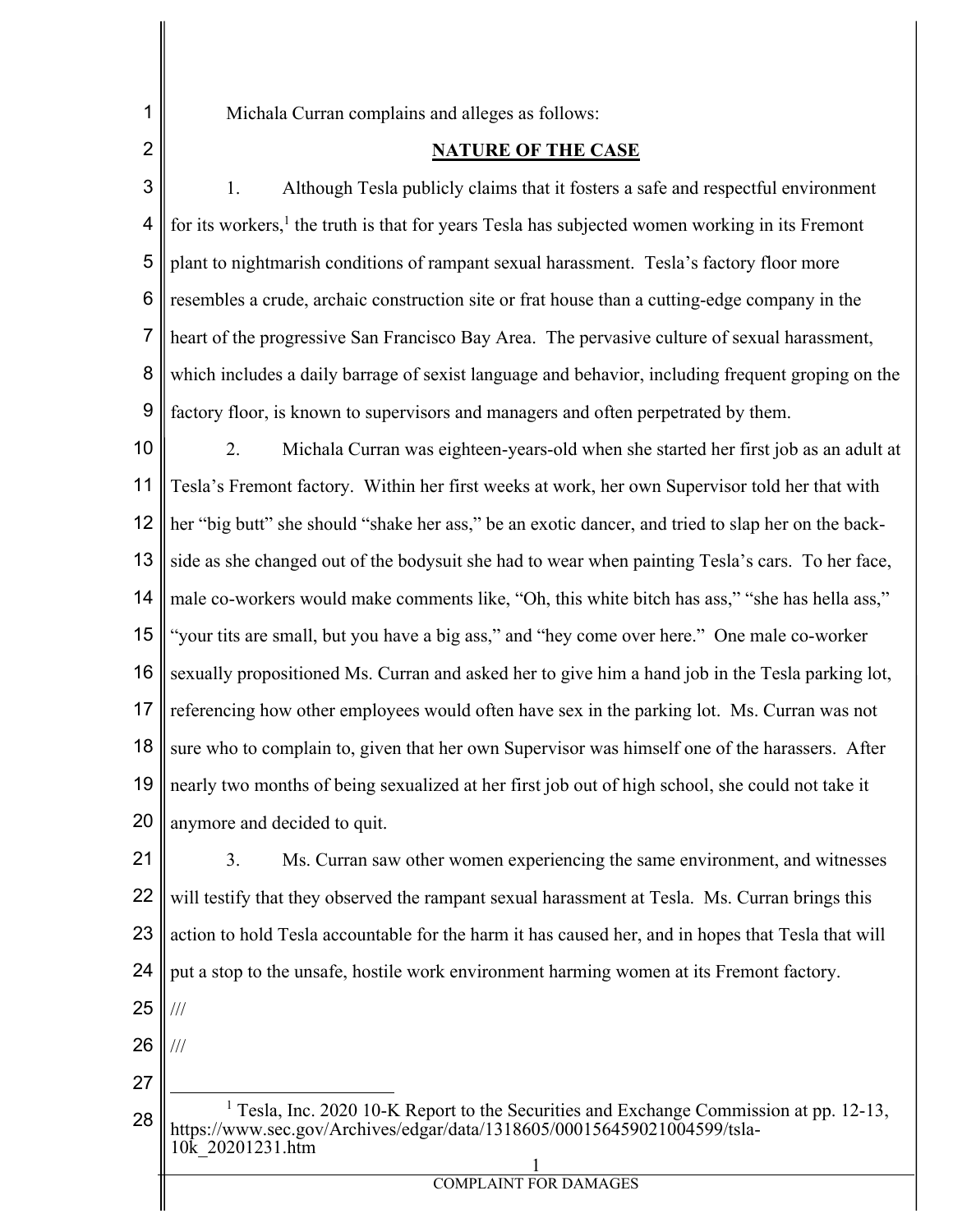1 2 Michala Curran complains and alleges as follows:

## **NATURE OF THE CASE**

3 4 5 6 7 8 9 1. Although Tesla publicly claims that it fosters a safe and respectful environment for its workers,<sup>1</sup> the truth is that for years Tesla has subjected women working in its Fremont plant to nightmarish conditions of rampant sexual harassment. Tesla's factory floor more resembles a crude, archaic construction site or frat house than a cutting-edge company in the heart of the progressive San Francisco Bay Area. The pervasive culture of sexual harassment, which includes a daily barrage of sexist language and behavior, including frequent groping on the factory floor, is known to supervisors and managers and often perpetrated by them.

10 11 12 13 14 15 16 17 18 19 20 2. Michala Curran was eighteen-years-old when she started her first job as an adult at Tesla's Fremont factory. Within her first weeks at work, her own Supervisor told her that with her "big butt" she should "shake her ass," be an exotic dancer, and tried to slap her on the backside as she changed out of the bodysuit she had to wear when painting Tesla's cars. To her face, male co-workers would make comments like, "Oh, this white bitch has ass," "she has hella ass," "your tits are small, but you have a big ass," and "hey come over here." One male co-worker sexually propositioned Ms. Curran and asked her to give him a hand job in the Tesla parking lot, referencing how other employees would often have sex in the parking lot. Ms. Curran was not sure who to complain to, given that her own Supervisor was himself one of the harassers. After nearly two months of being sexualized at her first job out of high school, she could not take it anymore and decided to quit.

21 22 23 24 25 3. Ms. Curran saw other women experiencing the same environment, and witnesses will testify that they observed the rampant sexual harassment at Tesla. Ms. Curran brings this action to hold Tesla accountable for the harm it has caused her, and in hopes that Tesla that will put a stop to the unsafe, hostile work environment harming women at its Fremont factory. ///

26 ///

27

28 1 <sup>1</sup> Tesla, Inc. 2020 10-K Report to the Securities and Exchange Commission at pp. 12-13, https://www.sec.gov/Archives/edgar/data/1318605/000156459021004599/tsla-10k\_20201231.htm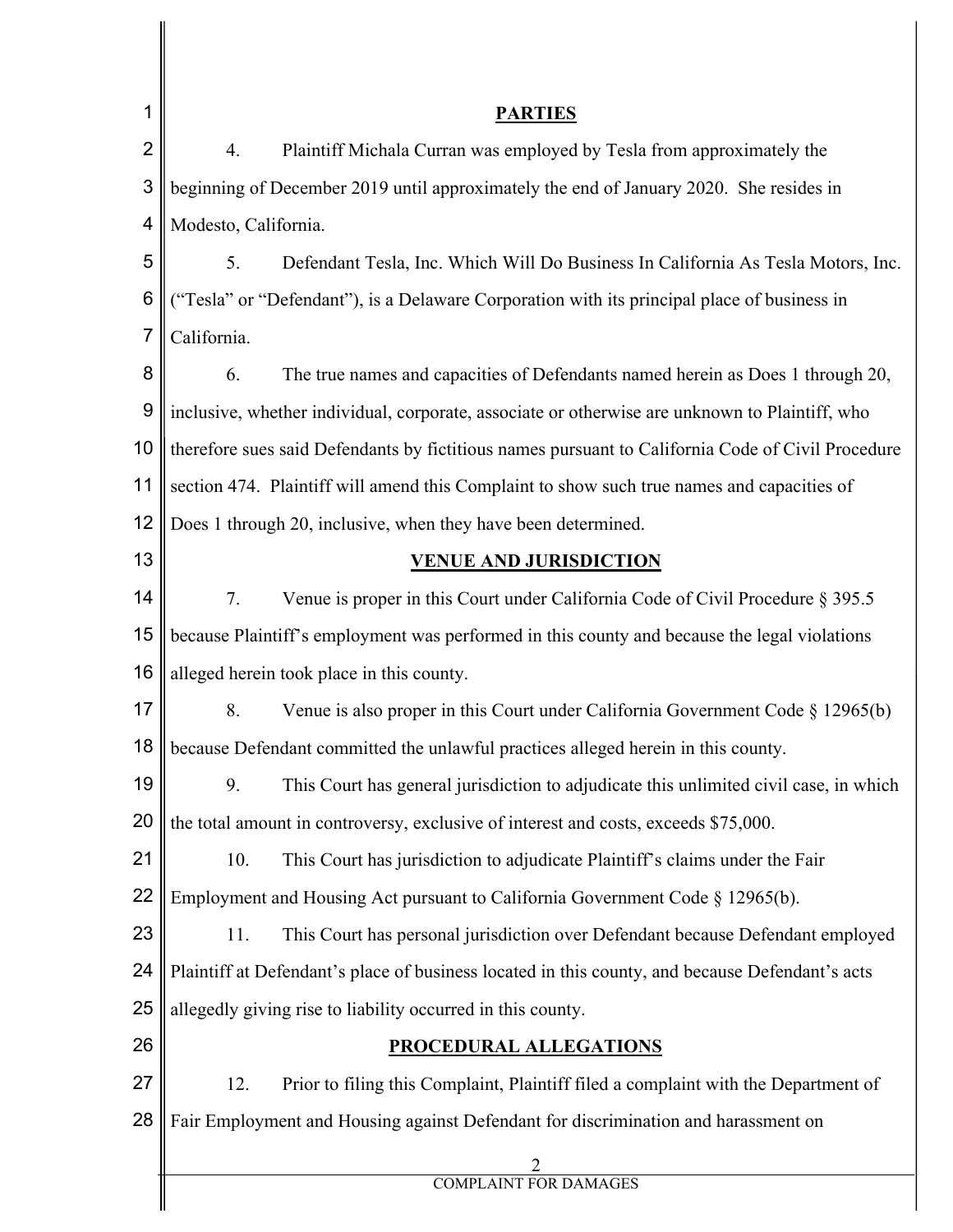| 1              | <b>PARTIES</b>                                                                                    |  |  |  |  |
|----------------|---------------------------------------------------------------------------------------------------|--|--|--|--|
| $\overline{2}$ | Plaintiff Michala Curran was employed by Tesla from approximately the<br>4.                       |  |  |  |  |
| 3              | beginning of December 2019 until approximately the end of January 2020. She resides in            |  |  |  |  |
| 4              | Modesto, California.                                                                              |  |  |  |  |
| 5              | Defendant Tesla, Inc. Which Will Do Business In California As Tesla Motors, Inc.<br>5.            |  |  |  |  |
| 6              | ("Tesla" or "Defendant"), is a Delaware Corporation with its principal place of business in       |  |  |  |  |
| $\overline{7}$ | California.                                                                                       |  |  |  |  |
| 8              | 6.<br>The true names and capacities of Defendants named herein as Does 1 through 20,              |  |  |  |  |
| 9              | inclusive, whether individual, corporate, associate or otherwise are unknown to Plaintiff, who    |  |  |  |  |
| 10             | therefore sues said Defendants by fictitious names pursuant to California Code of Civil Procedure |  |  |  |  |
| 11             | section 474. Plaintiff will amend this Complaint to show such true names and capacities of        |  |  |  |  |
| 12             | Does 1 through 20, inclusive, when they have been determined.                                     |  |  |  |  |
| 13             | <b>VENUE AND JURISDICTION</b>                                                                     |  |  |  |  |
| 14             | 7.<br>Venue is proper in this Court under California Code of Civil Procedure § 395.5              |  |  |  |  |
| 15             | because Plaintiff's employment was performed in this county and because the legal violations      |  |  |  |  |
| 16             | alleged herein took place in this county.                                                         |  |  |  |  |
| 17             | Venue is also proper in this Court under California Government Code $\S 12965(b)$<br>8.           |  |  |  |  |
| 18             | because Defendant committed the unlawful practices alleged herein in this county.                 |  |  |  |  |
| 19             | 9.<br>This Court has general jurisdiction to adjudicate this unlimited civil case, in which       |  |  |  |  |
| 20             | the total amount in controversy, exclusive of interest and costs, exceeds \$75,000.               |  |  |  |  |
| 21             | 10.<br>This Court has jurisdiction to adjudicate Plaintiff's claims under the Fair                |  |  |  |  |
| 22             | Employment and Housing Act pursuant to California Government Code § 12965(b).                     |  |  |  |  |
| 23             | This Court has personal jurisdiction over Defendant because Defendant employed<br>11.             |  |  |  |  |
| 24             | Plaintiff at Defendant's place of business located in this county, and because Defendant's acts   |  |  |  |  |
| 25             | allegedly giving rise to liability occurred in this county.                                       |  |  |  |  |
| 26             | <b>PROCEDURAL ALLEGATIONS</b>                                                                     |  |  |  |  |
| 27             | 12.<br>Prior to filing this Complaint, Plaintiff filed a complaint with the Department of         |  |  |  |  |
| 28             | Fair Employment and Housing against Defendant for discrimination and harassment on                |  |  |  |  |
|                | $\frac{2}{COMPLANT FOR DAMAGES}$                                                                  |  |  |  |  |
|                |                                                                                                   |  |  |  |  |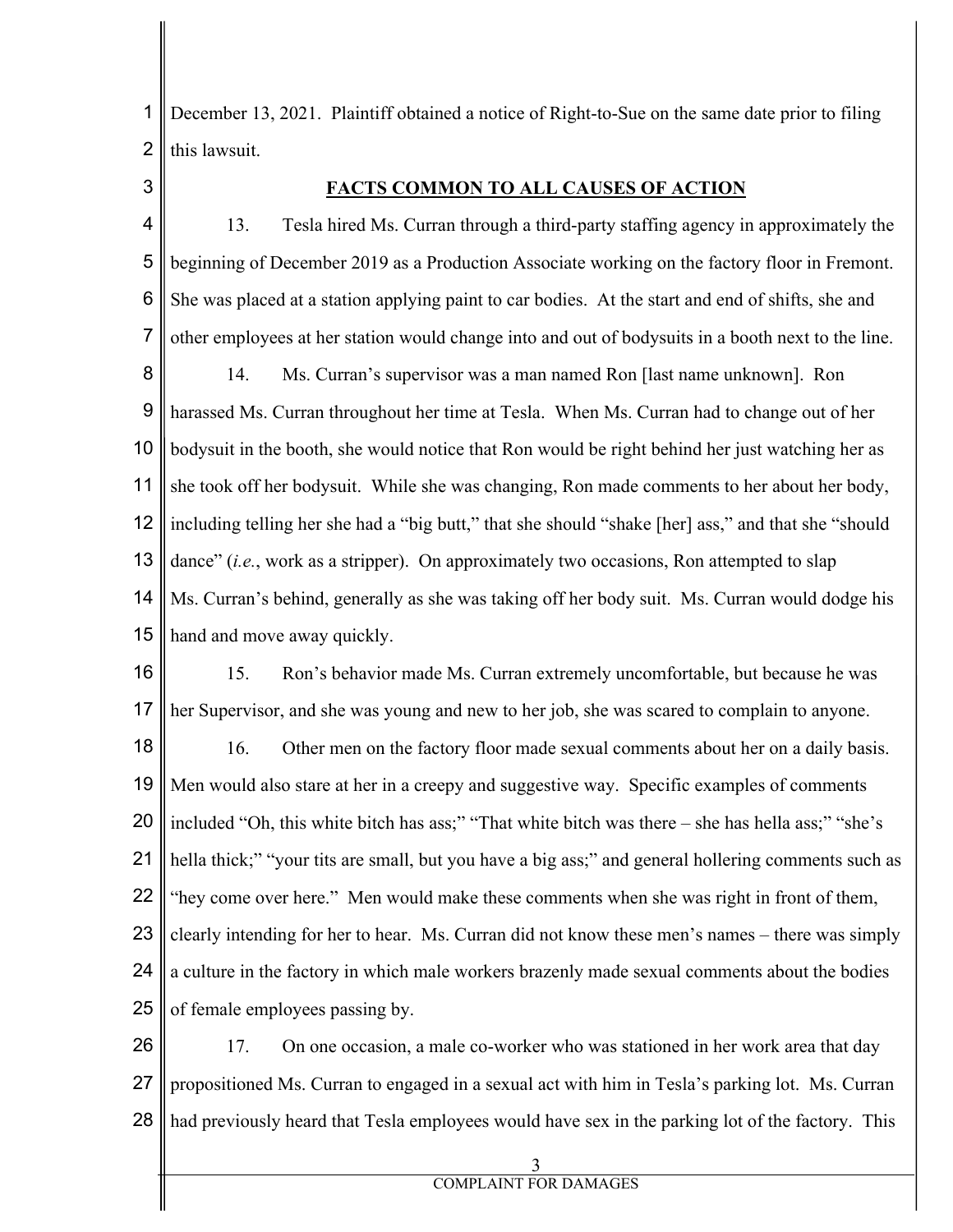1 2 December 13, 2021. Plaintiff obtained a notice of Right-to-Sue on the same date prior to filing this lawsuit.

3

## **FACTS COMMON TO ALL CAUSES OF ACTION**

4 5 6 7 8 9 10 11 12 13 14 15 13. Tesla hired Ms. Curran through a third-party staffing agency in approximately the beginning of December 2019 as a Production Associate working on the factory floor in Fremont. She was placed at a station applying paint to car bodies. At the start and end of shifts, she and other employees at her station would change into and out of bodysuits in a booth next to the line. 14. Ms. Curran's supervisor was a man named Ron [last name unknown]. Ron harassed Ms. Curran throughout her time at Tesla. When Ms. Curran had to change out of her bodysuit in the booth, she would notice that Ron would be right behind her just watching her as she took off her bodysuit. While she was changing, Ron made comments to her about her body, including telling her she had a "big butt," that she should "shake [her] ass," and that she "should dance" (*i.e.*, work as a stripper). On approximately two occasions, Ron attempted to slap Ms. Curran's behind, generally as she was taking off her body suit. Ms. Curran would dodge his hand and move away quickly.

16 17 18 19 20 21 22 23 24 25 15. Ron's behavior made Ms. Curran extremely uncomfortable, but because he was her Supervisor, and she was young and new to her job, she was scared to complain to anyone. 16. Other men on the factory floor made sexual comments about her on a daily basis. Men would also stare at her in a creepy and suggestive way. Specific examples of comments included "Oh, this white bitch has ass;" "That white bitch was there – she has hella ass;" "she's hella thick;" "your tits are small, but you have a big ass;" and general hollering comments such as "hey come over here." Men would make these comments when she was right in front of them, clearly intending for her to hear. Ms. Curran did not know these men's names – there was simply a culture in the factory in which male workers brazenly made sexual comments about the bodies of female employees passing by.

26 27 28 17. On one occasion, a male co-worker who was stationed in her work area that day propositioned Ms. Curran to engaged in a sexual act with him in Tesla's parking lot. Ms. Curran had previously heard that Tesla employees would have sex in the parking lot of the factory. This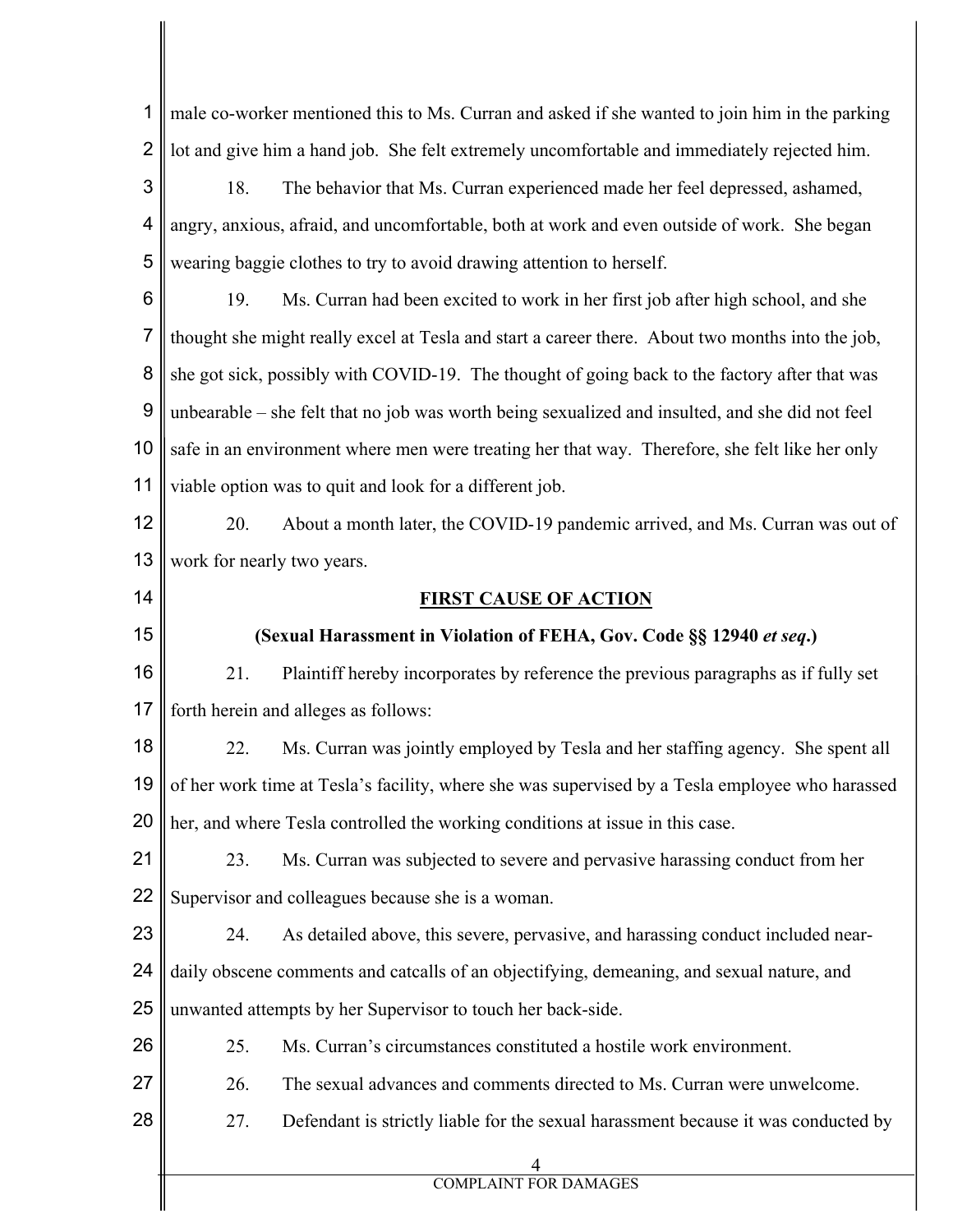| 1              | male co-worker mentioned this to Ms. Curran and asked if she wanted to join him in the parking   |  |  |  |
|----------------|--------------------------------------------------------------------------------------------------|--|--|--|
| $\overline{2}$ | lot and give him a hand job. She felt extremely uncomfortable and immediately rejected him.      |  |  |  |
| 3              | The behavior that Ms. Curran experienced made her feel depressed, ashamed,<br>18.                |  |  |  |
| 4              | angry, anxious, afraid, and uncomfortable, both at work and even outside of work. She began      |  |  |  |
| 5              | wearing baggie clothes to try to avoid drawing attention to herself.                             |  |  |  |
| 6              | 19.<br>Ms. Curran had been excited to work in her first job after high school, and she           |  |  |  |
| $\overline{7}$ | thought she might really excel at Tesla and start a career there. About two months into the job, |  |  |  |
| 8              | she got sick, possibly with COVID-19. The thought of going back to the factory after that was    |  |  |  |
| 9              | unbearable – she felt that no job was worth being sexualized and insulted, and she did not feel  |  |  |  |
| 10             | safe in an environment where men were treating her that way. Therefore, she felt like her only   |  |  |  |
| 11             | viable option was to quit and look for a different job.                                          |  |  |  |
| 12             | 20.<br>About a month later, the COVID-19 pandemic arrived, and Ms. Curran was out of             |  |  |  |
| 13             | work for nearly two years.                                                                       |  |  |  |
| 14             | <b>FIRST CAUSE OF ACTION</b>                                                                     |  |  |  |
| 15             | (Sexual Harassment in Violation of FEHA, Gov. Code §§ 12940 et seq.)                             |  |  |  |
| 16             | 21.<br>Plaintiff hereby incorporates by reference the previous paragraphs as if fully set        |  |  |  |
| 17             | forth herein and alleges as follows:                                                             |  |  |  |
| 18             | Ms. Curran was jointly employed by Tesla and her staffing agency. She spent all<br>22.           |  |  |  |
| 19             | of her work time at Tesla's facility, where she was supervised by a Tesla employee who harassed  |  |  |  |
| 20             | her, and where Tesla controlled the working conditions at issue in this case.                    |  |  |  |
| 21             | Ms. Curran was subjected to severe and pervasive harassing conduct from her<br>23.               |  |  |  |
| 22             | Supervisor and colleagues because she is a woman.                                                |  |  |  |
| 23             | As detailed above, this severe, pervasive, and harassing conduct included near-<br>24.           |  |  |  |
| 24             | daily obscene comments and catcalls of an objectifying, demeaning, and sexual nature, and        |  |  |  |
| 25             | unwanted attempts by her Supervisor to touch her back-side.                                      |  |  |  |
| 26             | 25.<br>Ms. Curran's circumstances constituted a hostile work environment.                        |  |  |  |
| 27             | 26.<br>The sexual advances and comments directed to Ms. Curran were unwelcome.                   |  |  |  |
| 28             | 27.<br>Defendant is strictly liable for the sexual harassment because it was conducted by        |  |  |  |
|                | <b>COMPLAINT FOR DAMAGES</b>                                                                     |  |  |  |
|                |                                                                                                  |  |  |  |

 $\parallel$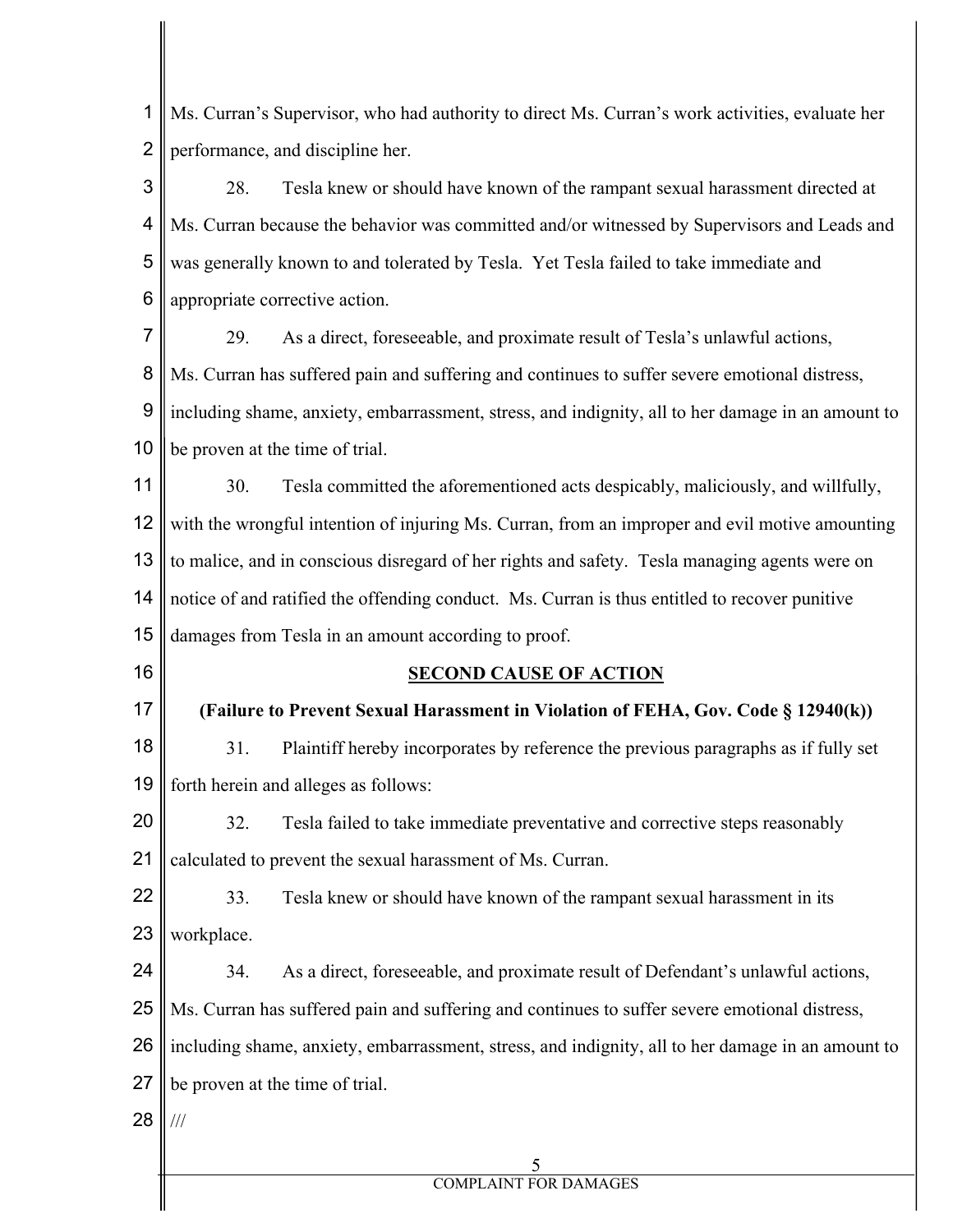1 2 Ms. Curran's Supervisor, who had authority to direct Ms. Curran's work activities, evaluate her performance, and discipline her.

3 4 5 6 28. Tesla knew or should have known of the rampant sexual harassment directed at Ms. Curran because the behavior was committed and/or witnessed by Supervisors and Leads and was generally known to and tolerated by Tesla. Yet Tesla failed to take immediate and appropriate corrective action.

7 8 9 10 29. As a direct, foreseeable, and proximate result of Tesla's unlawful actions, Ms. Curran has suffered pain and suffering and continues to suffer severe emotional distress, including shame, anxiety, embarrassment, stress, and indignity, all to her damage in an amount to be proven at the time of trial.

11 12 13 14 30. Tesla committed the aforementioned acts despicably, maliciously, and willfully, with the wrongful intention of injuring Ms. Curran, from an improper and evil motive amounting to malice, and in conscious disregard of her rights and safety. Tesla managing agents were on notice of and ratified the offending conduct. Ms. Curran is thus entitled to recover punitive

15 damages from Tesla in an amount according to proof.

16

## **SECOND CAUSE OF ACTION**

17 **(Failure to Prevent Sexual Harassment in Violation of FEHA, Gov. Code § 12940(k))** 

18 19 31. Plaintiff hereby incorporates by reference the previous paragraphs as if fully set forth herein and alleges as follows:

20 21 32. Tesla failed to take immediate preventative and corrective steps reasonably calculated to prevent the sexual harassment of Ms. Curran.

22 23 33. Tesla knew or should have known of the rampant sexual harassment in its workplace.

24 25 26 27 34. As a direct, foreseeable, and proximate result of Defendant's unlawful actions, Ms. Curran has suffered pain and suffering and continues to suffer severe emotional distress, including shame, anxiety, embarrassment, stress, and indignity, all to her damage in an amount to be proven at the time of trial.

28 ///

## 5 COMPLAINT FOR DAMAGES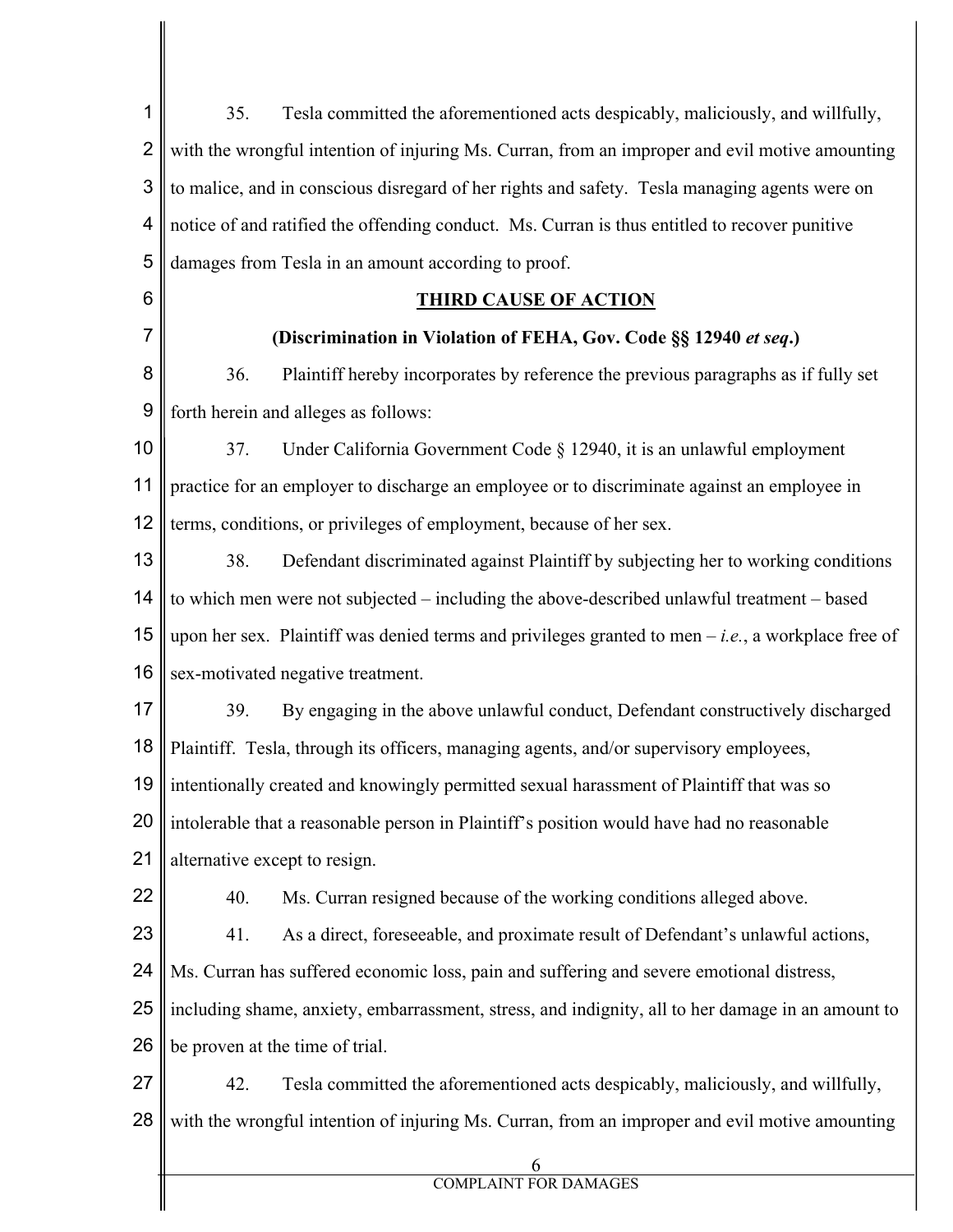| 1              | Tesla committed the aforementioned acts despicably, maliciously, and willfully,<br>35.              |  |  |  |  |
|----------------|-----------------------------------------------------------------------------------------------------|--|--|--|--|
| $\overline{2}$ | with the wrongful intention of injuring Ms. Curran, from an improper and evil motive amounting      |  |  |  |  |
| 3              | to malice, and in conscious disregard of her rights and safety. Tesla managing agents were on       |  |  |  |  |
| 4              | notice of and ratified the offending conduct. Ms. Curran is thus entitled to recover punitive       |  |  |  |  |
| 5              | damages from Tesla in an amount according to proof.                                                 |  |  |  |  |
| 6              | <b>THIRD CAUSE OF ACTION</b>                                                                        |  |  |  |  |
| 7              | (Discrimination in Violation of FEHA, Gov. Code §§ 12940 et seq.)                                   |  |  |  |  |
| 8              | 36.<br>Plaintiff hereby incorporates by reference the previous paragraphs as if fully set           |  |  |  |  |
| 9              | forth herein and alleges as follows:                                                                |  |  |  |  |
| 10             | Under California Government Code § 12940, it is an unlawful employment<br>37.                       |  |  |  |  |
| 11             | practice for an employer to discharge an employee or to discriminate against an employee in         |  |  |  |  |
| 12             | terms, conditions, or privileges of employment, because of her sex.                                 |  |  |  |  |
| 13             | 38.<br>Defendant discriminated against Plaintiff by subjecting her to working conditions            |  |  |  |  |
| 14             | to which men were not subjected – including the above-described unlawful treatment – based          |  |  |  |  |
| 15             | upon her sex. Plaintiff was denied terms and privileges granted to men $-i.e.,$ a workplace free of |  |  |  |  |
| 16             | sex-motivated negative treatment.                                                                   |  |  |  |  |
| 17             | By engaging in the above unlawful conduct, Defendant constructively discharged<br>39.               |  |  |  |  |
| 18             | Plaintiff. Tesla, through its officers, managing agents, and/or supervisory employees,              |  |  |  |  |
|                | 19    intentionally created and knowingly permitted sexual harassment of Plaintiff that was so      |  |  |  |  |
| 20             | intolerable that a reasonable person in Plaintiff's position would have had no reasonable           |  |  |  |  |
| 21             | alternative except to resign.                                                                       |  |  |  |  |
| 22             | Ms. Curran resigned because of the working conditions alleged above.<br>40.                         |  |  |  |  |
| 23             | 41.<br>As a direct, foreseeable, and proximate result of Defendant's unlawful actions,              |  |  |  |  |
| 24             | Ms. Curran has suffered economic loss, pain and suffering and severe emotional distress,            |  |  |  |  |
| 25             | including shame, anxiety, embarrassment, stress, and indignity, all to her damage in an amount to   |  |  |  |  |
| 26             | be proven at the time of trial.                                                                     |  |  |  |  |
| 27             | 42.<br>Tesla committed the aforementioned acts despicably, maliciously, and willfully,              |  |  |  |  |
| 28             | with the wrongful intention of injuring Ms. Curran, from an improper and evil motive amounting      |  |  |  |  |
|                | 6                                                                                                   |  |  |  |  |
|                | <b>COMPLAINT FOR DAMAGES</b>                                                                        |  |  |  |  |

 $\mathsf{I}$ 

 $\parallel$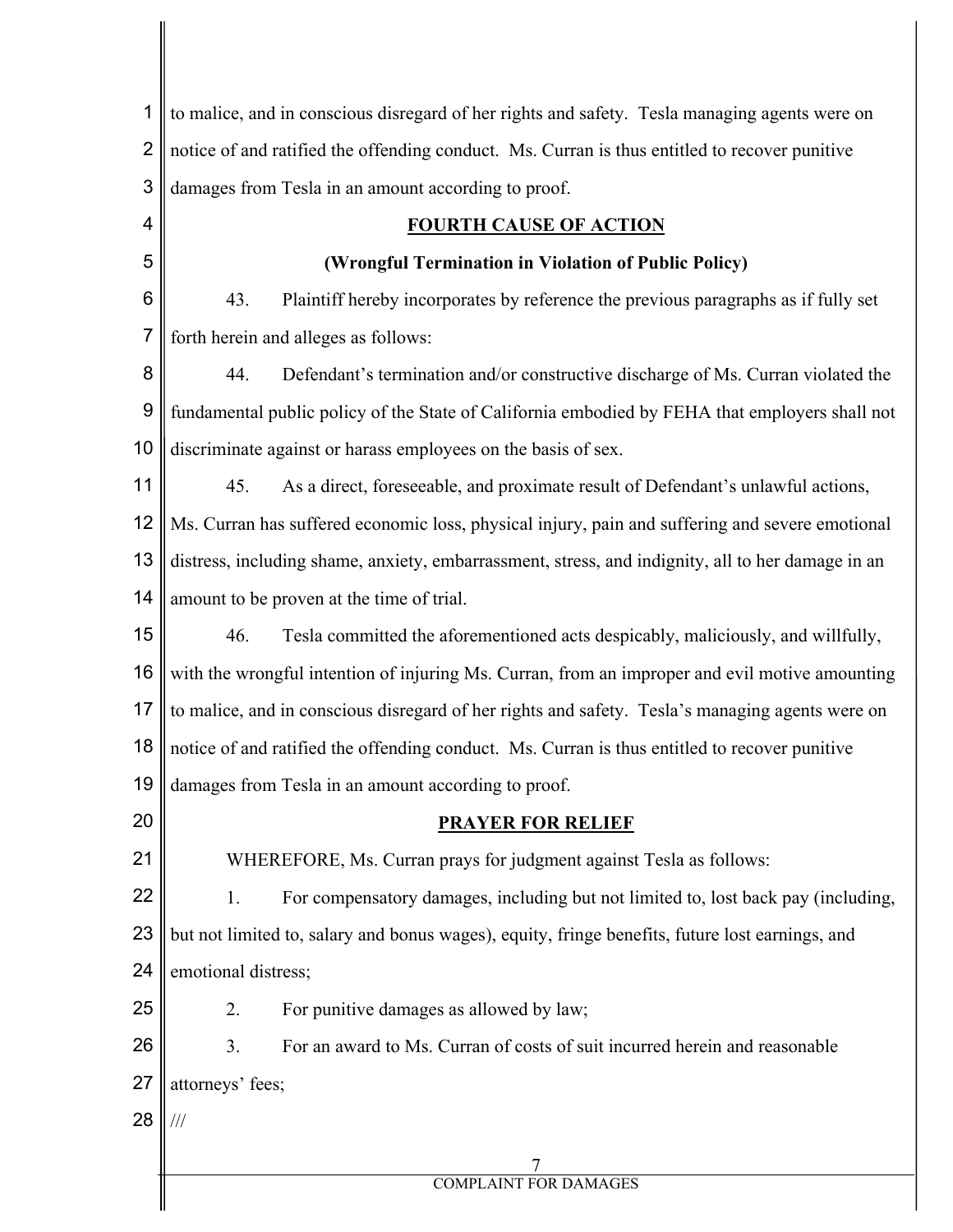| notice of and ratified the offending conduct. Ms. Curran is thus entitled to recover punitive           |                                                                                               |  |  |  |
|---------------------------------------------------------------------------------------------------------|-----------------------------------------------------------------------------------------------|--|--|--|
| damages from Tesla in an amount according to proof.                                                     |                                                                                               |  |  |  |
| <b>FOURTH CAUSE OF ACTION</b>                                                                           |                                                                                               |  |  |  |
| (Wrongful Termination in Violation of Public Policy)                                                    |                                                                                               |  |  |  |
| 43.<br>Plaintiff hereby incorporates by reference the previous paragraphs as if fully set               |                                                                                               |  |  |  |
| forth herein and alleges as follows:                                                                    |                                                                                               |  |  |  |
| Defendant's termination and/or constructive discharge of Ms. Curran violated the<br>44.                 |                                                                                               |  |  |  |
| fundamental public policy of the State of California embodied by FEHA that employers shall not          |                                                                                               |  |  |  |
| 10<br>discriminate against or harass employees on the basis of sex.                                     |                                                                                               |  |  |  |
| 45.                                                                                                     | As a direct, foreseeable, and proximate result of Defendant's unlawful actions,               |  |  |  |
| 12<br>Ms. Curran has suffered economic loss, physical injury, pain and suffering and severe emotional   |                                                                                               |  |  |  |
| 13<br>distress, including shame, anxiety, embarrassment, stress, and indignity, all to her damage in an |                                                                                               |  |  |  |
| 14<br>amount to be proven at the time of trial.                                                         |                                                                                               |  |  |  |
| 46.                                                                                                     | Tesla committed the aforementioned acts despicably, maliciously, and willfully,               |  |  |  |
| 16<br>with the wrongful intention of injuring Ms. Curran, from an improper and evil motive amounting    |                                                                                               |  |  |  |
| 17<br>to malice, and in conscious disregard of her rights and safety. Tesla's managing agents were on   |                                                                                               |  |  |  |
|                                                                                                         | notice of and ratified the offending conduct. Ms. Curran is thus entitled to recover punitive |  |  |  |
|                                                                                                         | 19 $\parallel$ damages from Tesla in an amount according to proof.                            |  |  |  |
|                                                                                                         | <b>PRAYER FOR RELIEF</b>                                                                      |  |  |  |
|                                                                                                         | WHEREFORE, Ms. Curran prays for judgment against Tesla as follows:                            |  |  |  |
| 1.                                                                                                      | For compensatory damages, including but not limited to, lost back pay (including,             |  |  |  |
| 23<br>but not limited to, salary and bonus wages), equity, fringe benefits, future lost earnings, and   |                                                                                               |  |  |  |
| 24<br>emotional distress;                                                                               |                                                                                               |  |  |  |
| 2.                                                                                                      | For punitive damages as allowed by law;                                                       |  |  |  |
| 3.                                                                                                      | For an award to Ms. Curran of costs of suit incurred herein and reasonable                    |  |  |  |
| attorneys' fees;                                                                                        |                                                                                               |  |  |  |
| $\frac{1}{1}$                                                                                           |                                                                                               |  |  |  |
|                                                                                                         |                                                                                               |  |  |  |
|                                                                                                         | <b>COMPLAINT FOR DAMAGES</b>                                                                  |  |  |  |
|                                                                                                         |                                                                                               |  |  |  |

 $\mathbf{I}$